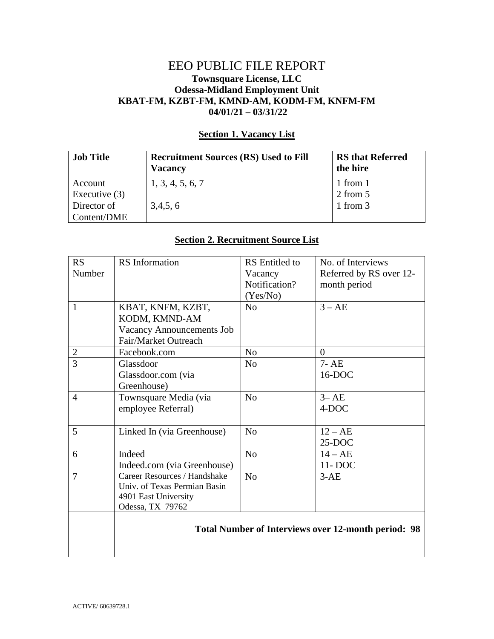## EEO PUBLIC FILE REPORT **Townsquare License, LLC Odessa-Midland Employment Unit KBAT-FM, KZBT-FM, KMND-AM, KODM-FM, KNFM-FM 04/01/21 – 03/31/22**

## **Section 1. Vacancy List**

| <b>Job Title</b> | <b>Recruitment Sources (RS) Used to Fill</b><br><b>Vacancy</b> | <b>RS</b> that Referred<br>the hire |
|------------------|----------------------------------------------------------------|-------------------------------------|
| Account          | 1, 3, 4, 5, 6, 7                                               | 1 from 1                            |
| Executive $(3)$  |                                                                | 2 from 5                            |
| Director of      | 3,4,5,6                                                        | 1 from 3                            |
| Content/DME      |                                                                |                                     |

## **Section 2. Recruitment Source List**

| RS             | <b>RS</b> Information                                      | <b>RS</b> Entitled to | No. of Interviews       |
|----------------|------------------------------------------------------------|-----------------------|-------------------------|
| Number         |                                                            | Vacancy               | Referred by RS over 12- |
|                |                                                            | Notification?         | month period            |
|                |                                                            | (Yes/No)              |                         |
| $\mathbf{1}$   | KBAT, KNFM, KZBT,                                          | N <sub>0</sub>        | $3 - AE$                |
|                | KODM, KMND-AM                                              |                       |                         |
|                | <b>Vacancy Announcements Job</b>                           |                       |                         |
|                | Fair/Market Outreach                                       |                       |                         |
| $\overline{2}$ | Facebook.com                                               | No                    | $\theta$                |
| $\overline{3}$ | Glassdoor                                                  | No                    | $7 - AE$                |
|                | Glassdoor.com (via                                         |                       | 16-DOC                  |
|                | Greenhouse)                                                |                       |                         |
| $\overline{4}$ | Townsquare Media (via                                      | N <sub>o</sub>        | $3 - AE$                |
|                | employee Referral)                                         |                       | 4-DOC                   |
|                |                                                            |                       |                         |
| 5              | Linked In (via Greenhouse)                                 | N <sub>0</sub>        | $12 - AE$               |
|                |                                                            |                       | $25-DOC$                |
| 6              | Indeed                                                     | N <sub>o</sub>        | $14 - AE$               |
|                | Indeed.com (via Greenhouse)                                |                       | 11-DOC                  |
| $\overline{7}$ | Career Resources / Handshake                               | N <sub>o</sub>        | $3-AE$                  |
|                | Univ. of Texas Permian Basin                               |                       |                         |
|                | 4901 East University                                       |                       |                         |
|                | Odessa, TX 79762                                           |                       |                         |
|                | <b>Total Number of Interviews over 12-month period: 98</b> |                       |                         |
|                |                                                            |                       |                         |
|                |                                                            |                       |                         |
|                |                                                            |                       |                         |